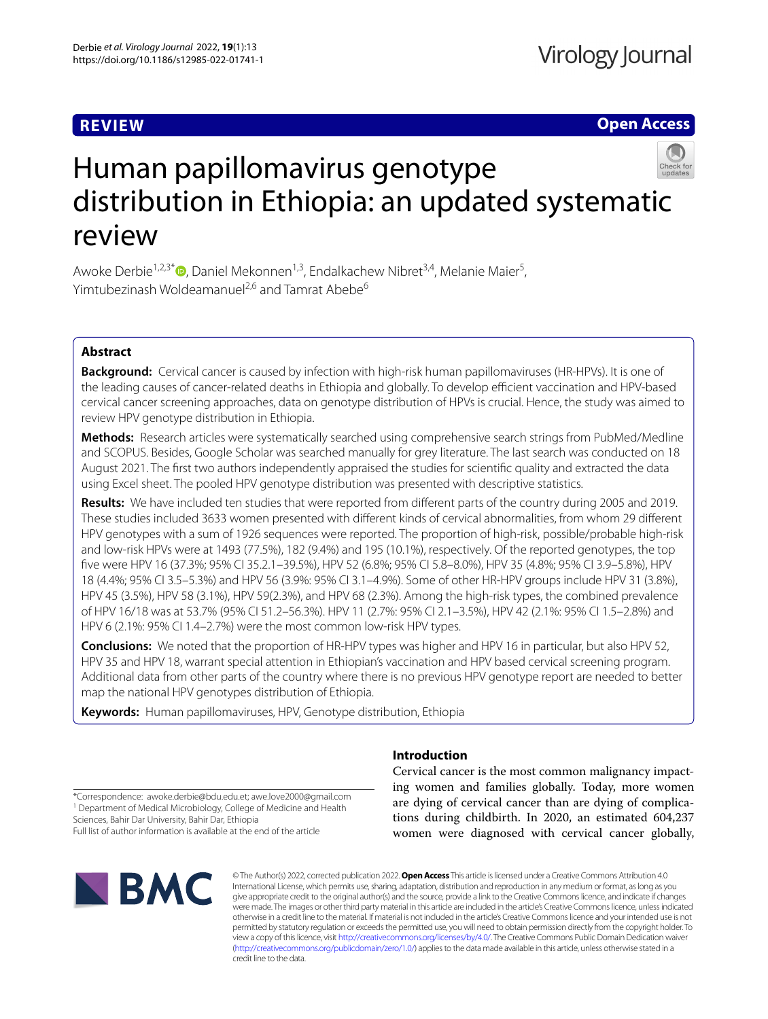# **REVIEW**

**Open Access**

# Human papillomavirus genotype distribution in Ethiopia: an updated systematic review

Awoke Derbie<sup>1,2,3[\\*](http://orcid.org/0000-0002-6949-3494)</sup>®, Daniel Mekonnen<sup>1,3</sup>, Endalkachew Nibret<sup>3,4</sup>, Melanie Maier<sup>5</sup>, Yimtubezinash Woldeamanuel<sup>2,6</sup> and Tamrat Abebe<sup>6</sup>

## **Abstract**

**Background:** Cervical cancer is caused by infection with high-risk human papillomaviruses (HR-HPVs). It is one of the leading causes of cancer-related deaths in Ethiopia and globally. To develop efficient vaccination and HPV-based cervical cancer screening approaches, data on genotype distribution of HPVs is crucial. Hence, the study was aimed to review HPV genotype distribution in Ethiopia.

**Methods:** Research articles were systematically searched using comprehensive search strings from PubMed/Medline and SCOPUS. Besides, Google Scholar was searched manually for grey literature. The last search was conducted on 18 August 2021. The frst two authors independently appraised the studies for scientifc quality and extracted the data using Excel sheet. The pooled HPV genotype distribution was presented with descriptive statistics.

**Results:** We have included ten studies that were reported from diferent parts of the country during 2005 and 2019. These studies included 3633 women presented with diferent kinds of cervical abnormalities, from whom 29 diferent HPV genotypes with a sum of 1926 sequences were reported. The proportion of high-risk, possible/probable high-risk and low-risk HPVs were at 1493 (77.5%), 182 (9.4%) and 195 (10.1%), respectively. Of the reported genotypes, the top fve were HPV 16 (37.3%; 95% CI 35.2.1–39.5%), HPV 52 (6.8%; 95% CI 5.8–8.0%), HPV 35 (4.8%; 95% CI 3.9–5.8%), HPV 18 (4.4%; 95% CI 3.5–5.3%) and HPV 56 (3.9%: 95% CI 3.1–4.9%). Some of other HR-HPV groups include HPV 31 (3.8%), HPV 45 (3.5%), HPV 58 (3.1%), HPV 59(2.3%), and HPV 68 (2.3%). Among the high-risk types, the combined prevalence of HPV 16/18 was at 53.7% (95% CI 51.2–56.3%). HPV 11 (2.7%: 95% CI 2.1–3.5%), HPV 42 (2.1%: 95% CI 1.5–2.8%) and HPV 6 (2.1%: 95% CI 1.4–2.7%) were the most common low-risk HPV types.

**Conclusions:** We noted that the proportion of HR-HPV types was higher and HPV 16 in particular, but also HPV 52, HPV 35 and HPV 18, warrant special attention in Ethiopian's vaccination and HPV based cervical screening program. Additional data from other parts of the country where there is no previous HPV genotype report are needed to better map the national HPV genotypes distribution of Ethiopia.

**Keywords:** Human papillomaviruses, HPV, Genotype distribution, Ethiopia

## **Introduction**

Cervical cancer is the most common malignancy impacting women and families globally. Today, more women are dying of cervical cancer than are dying of complications during childbirth. In 2020, an estimated 604,237 women were diagnosed with cervical cancer globally,

\*Correspondence: awoke.derbie@bdu.edu.et; awe.love2000@gmail.com <sup>1</sup> Department of Medical Microbiology, College of Medicine and Health Sciences, Bahir Dar University, Bahir Dar, Ethiopia

Full list of author information is available at the end of the article



© The Author(s) 2022, corrected publication 2022. **Open Access** This article is licensed under a Creative Commons Attribution 4.0 International License, which permits use, sharing, adaptation, distribution and reproduction in any medium or format, as long as you give appropriate credit to the original author(s) and the source, provide a link to the Creative Commons licence, and indicate if changes were made. The images or other third party material in this article are included in the article's Creative Commons licence, unless indicated otherwise in a credit line to the material. If material is not included in the article's Creative Commons licence and your intended use is not permitted by statutory regulation or exceeds the permitted use, you will need to obtain permission directly from the copyright holder. To view a copy of this licence, visit [http://creativecommons.org/licenses/by/4.0/.](http://creativecommons.org/licenses/by/4.0/) The Creative Commons Public Domain Dedication waiver [\(http://creativecommons.org/publicdomain/zero/1.0/\)](http://creativecommons.org/publicdomain/zero/1.0/) applies to the data made available in this article, unless otherwise stated in a credit line to the data.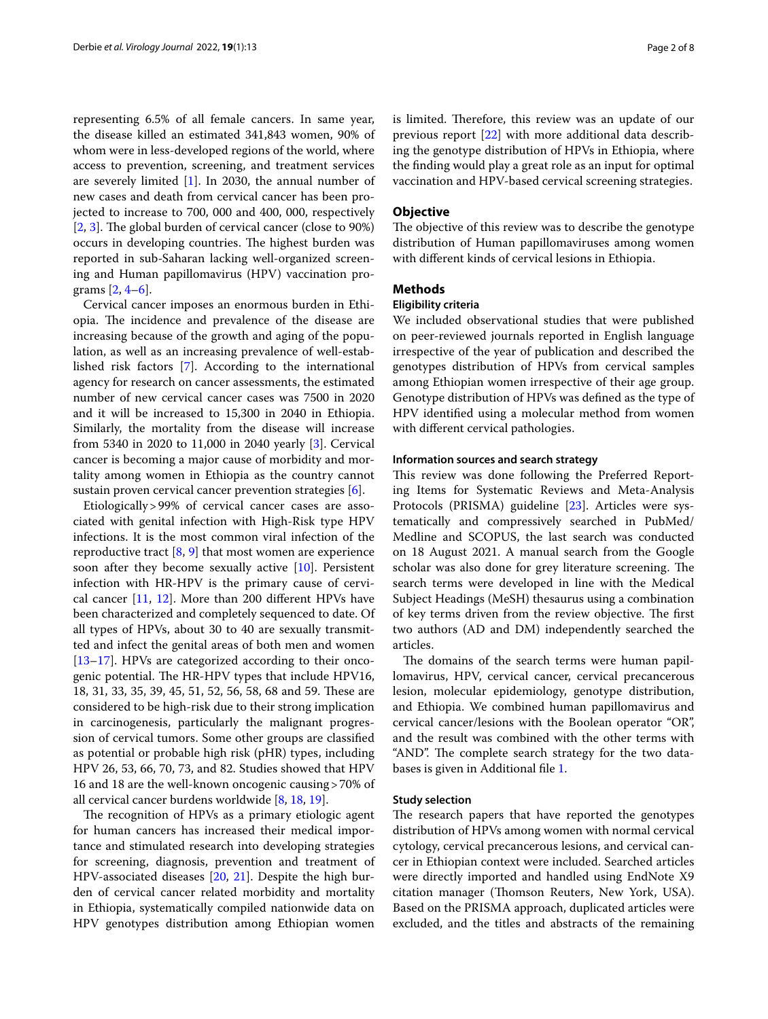representing 6.5% of all female cancers. In same year, the disease killed an estimated 341,843 women, 90% of whom were in less-developed regions of the world, where access to prevention, screening, and treatment services are severely limited [[1\]](#page-6-0). In 2030, the annual number of new cases and death from cervical cancer has been projected to increase to 700, 000 and 400, 000, respectively  $[2, 3]$  $[2, 3]$  $[2, 3]$  $[2, 3]$  $[2, 3]$ . The global burden of cervical cancer (close to 90%) occurs in developing countries. The highest burden was reported in sub-Saharan lacking well-organized screening and Human papillomavirus (HPV) vaccination programs [\[2](#page-6-1), [4–](#page-6-3)[6](#page-6-4)].

Cervical cancer imposes an enormous burden in Ethiopia. The incidence and prevalence of the disease are increasing because of the growth and aging of the population, as well as an increasing prevalence of well-established risk factors [[7\]](#page-6-5). According to the international agency for research on cancer assessments, the estimated number of new cervical cancer cases was 7500 in 2020 and it will be increased to 15,300 in 2040 in Ethiopia. Similarly, the mortality from the disease will increase from 5340 in 2020 to 11,000 in 2040 yearly [[3\]](#page-6-2). Cervical cancer is becoming a major cause of morbidity and mortality among women in Ethiopia as the country cannot sustain proven cervical cancer prevention strategies [[6\]](#page-6-4).

Etiologically>99% of cervical cancer cases are associated with genital infection with High-Risk type HPV infections. It is the most common viral infection of the reproductive tract  $[8, 9]$  $[8, 9]$  $[8, 9]$  $[8, 9]$  $[8, 9]$  that most women are experience soon after they become sexually active [[10\]](#page-6-8). Persistent infection with HR-HPV is the primary cause of cervical cancer [[11](#page-6-9), [12](#page-7-0)]. More than 200 diferent HPVs have been characterized and completely sequenced to date. Of all types of HPVs, about 30 to 40 are sexually transmitted and infect the genital areas of both men and women [[13–](#page-7-1)[17](#page-7-2)]. HPVs are categorized according to their oncogenic potential. The HR-HPV types that include HPV16, 18, 31, 33, 35, 39, 45, 51, 52, 56, 58, 68 and 59. These are considered to be high-risk due to their strong implication in carcinogenesis, particularly the malignant progression of cervical tumors. Some other groups are classifed as potential or probable high risk (pHR) types, including HPV 26, 53, 66, 70, 73, and 82. Studies showed that HPV 16 and 18 are the well-known oncogenic causing>70% of all cervical cancer burdens worldwide [[8,](#page-6-6) [18](#page-7-3), [19\]](#page-7-4).

The recognition of HPVs as a primary etiologic agent for human cancers has increased their medical importance and stimulated research into developing strategies for screening, diagnosis, prevention and treatment of HPV-associated diseases [[20](#page-7-5), [21\]](#page-7-6). Despite the high burden of cervical cancer related morbidity and mortality in Ethiopia, systematically compiled nationwide data on HPV genotypes distribution among Ethiopian women is limited. Therefore, this review was an update of our previous report [\[22\]](#page-7-7) with more additional data describing the genotype distribution of HPVs in Ethiopia, where the fnding would play a great role as an input for optimal vaccination and HPV-based cervical screening strategies.

#### **Objective**

The objective of this review was to describe the genotype distribution of Human papillomaviruses among women with diferent kinds of cervical lesions in Ethiopia.

## **Methods**

## **Eligibility criteria**

We included observational studies that were published on peer-reviewed journals reported in English language irrespective of the year of publication and described the genotypes distribution of HPVs from cervical samples among Ethiopian women irrespective of their age group. Genotype distribution of HPVs was defned as the type of HPV identifed using a molecular method from women with diferent cervical pathologies.

#### **Information sources and search strategy**

This review was done following the Preferred Reporting Items for Systematic Reviews and Meta-Analysis Protocols (PRISMA) guideline [\[23](#page-7-8)]. Articles were systematically and compressively searched in PubMed/ Medline and SCOPUS, the last search was conducted on 18 August 2021. A manual search from the Google scholar was also done for grey literature screening. The search terms were developed in line with the Medical Subject Headings (MeSH) thesaurus using a combination of key terms driven from the review objective. The first two authors (AD and DM) independently searched the articles.

The domains of the search terms were human papillomavirus, HPV, cervical cancer, cervical precancerous lesion, molecular epidemiology, genotype distribution, and Ethiopia. We combined human papillomavirus and cervical cancer/lesions with the Boolean operator "OR", and the result was combined with the other terms with "AND". The complete search strategy for the two databases is given in Additional fle [1.](#page-6-10)

#### **Study selection**

The research papers that have reported the genotypes distribution of HPVs among women with normal cervical cytology, cervical precancerous lesions, and cervical cancer in Ethiopian context were included. Searched articles were directly imported and handled using EndNote X9 citation manager (Thomson Reuters, New York, USA). Based on the PRISMA approach, duplicated articles were excluded, and the titles and abstracts of the remaining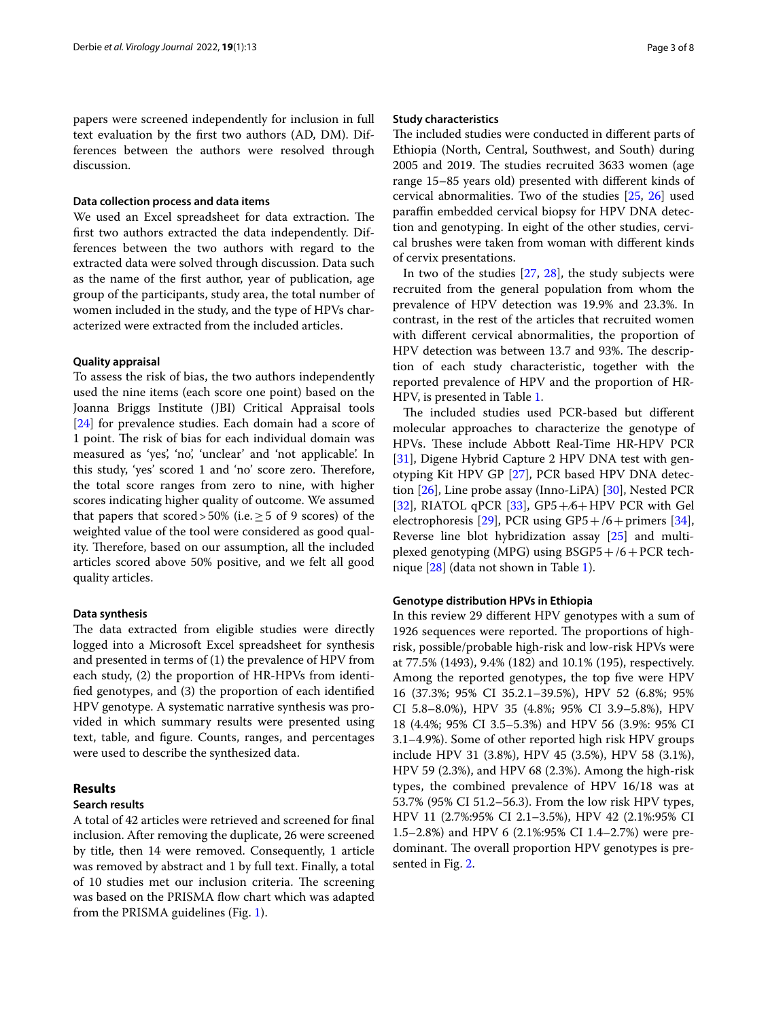papers were screened independently for inclusion in full text evaluation by the frst two authors (AD, DM). Differences between the authors were resolved through discussion.

## **Data collection process and data items**

We used an Excel spreadsheet for data extraction. The frst two authors extracted the data independently. Differences between the two authors with regard to the extracted data were solved through discussion. Data such as the name of the frst author, year of publication, age group of the participants, study area, the total number of women included in the study, and the type of HPVs characterized were extracted from the included articles.

#### **Quality appraisal**

To assess the risk of bias, the two authors independently used the nine items (each score one point) based on the Joanna Briggs Institute (JBI) Critical Appraisal tools [[24\]](#page-7-9) for prevalence studies. Each domain had a score of 1 point. The risk of bias for each individual domain was measured as 'yes', 'no', 'unclear' and 'not applicable'. In this study, 'yes' scored 1 and 'no' score zero. Therefore, the total score ranges from zero to nine, with higher scores indicating higher quality of outcome. We assumed that papers that scored>50% (i.e.  $\geq$  5 of 9 scores) of the weighted value of the tool were considered as good quality. Therefore, based on our assumption, all the included articles scored above 50% positive, and we felt all good quality articles.

## **Data synthesis**

The data extracted from eligible studies were directly logged into a Microsoft Excel spreadsheet for synthesis and presented in terms of (1) the prevalence of HPV from each study, (2) the proportion of HR-HPVs from identifed genotypes, and (3) the proportion of each identifed HPV genotype. A systematic narrative synthesis was provided in which summary results were presented using text, table, and fgure. Counts, ranges, and percentages were used to describe the synthesized data.

## **Results**

#### **Search results**

A total of 42 articles were retrieved and screened for fnal inclusion. After removing the duplicate, 26 were screened by title, then 14 were removed. Consequently, 1 article was removed by abstract and 1 by full text. Finally, a total of 10 studies met our inclusion criteria. The screening was based on the PRISMA flow chart which was adapted from the PRISMA guidelines (Fig. [1](#page-3-0)).

## **Study characteristics**

The included studies were conducted in different parts of Ethiopia (North, Central, Southwest, and South) during 2005 and 2019. The studies recruited 3633 women (age range 15–85 years old) presented with diferent kinds of cervical abnormalities. Two of the studies [\[25](#page-7-10), [26\]](#page-7-11) used paraffin embedded cervical biopsy for HPV DNA detection and genotyping. In eight of the other studies, cervical brushes were taken from woman with diferent kinds of cervix presentations.

In two of the studies [[27](#page-7-12), [28\]](#page-7-13), the study subjects were recruited from the general population from whom the prevalence of HPV detection was 19.9% and 23.3%. In contrast, in the rest of the articles that recruited women with diferent cervical abnormalities, the proportion of HPV detection was between 13.7 and 93%. The description of each study characteristic, together with the reported prevalence of HPV and the proportion of HR-HPV, is presented in Table [1.](#page-4-0)

The included studies used PCR-based but different molecular approaches to characterize the genotype of HPVs. These include Abbott Real-Time HR-HPV PCR [[31\]](#page-7-14), Digene Hybrid Capture 2 HPV DNA test with genotyping Kit HPV GP [[27](#page-7-12)], PCR based HPV DNA detection [[26\]](#page-7-11), Line probe assay (Inno-LiPA) [[30](#page-7-15)], Nested PCR [[32\]](#page-7-16), RIATOL qPCR [[33\]](#page-7-17), GP5+⁄6+HPV PCR with Gel electrophoresis [\[29](#page-7-18)], PCR using  $GP5+/6+$  primers [\[34](#page-7-19)], Reverse line blot hybridization assay [[25\]](#page-7-10) and multiplexed genotyping (MPG) using  $BSGP5+/6+PCR$  technique [\[28](#page-7-13)] (data not shown in Table [1](#page-4-0)).

## **Genotype distribution HPVs in Ethiopia**

In this review 29 diferent HPV genotypes with a sum of 1926 sequences were reported. The proportions of highrisk, possible/probable high-risk and low-risk HPVs were at 77.5% (1493), 9.4% (182) and 10.1% (195), respectively. Among the reported genotypes, the top five were HPV 16 (37.3%; 95% CI 35.2.1–39.5%), HPV 52 (6.8%; 95% CI 5.8–8.0%), HPV 35 (4.8%; 95% CI 3.9–5.8%), HPV 18 (4.4%; 95% CI 3.5–5.3%) and HPV 56 (3.9%: 95% CI 3.1–4.9%). Some of other reported high risk HPV groups include HPV 31 (3.8%), HPV 45 (3.5%), HPV 58 (3.1%), HPV 59 (2.3%), and HPV 68 (2.3%). Among the high-risk types, the combined prevalence of HPV 16/18 was at 53.7% (95% CI 51.2–56.3). From the low risk HPV types, HPV 11 (2.7%:95% CI 2.1–3.5%), HPV 42 (2.1%:95% CI 1.5–2.8%) and HPV 6 (2.1%:95% CI 1.4–2.7%) were predominant. The overall proportion HPV genotypes is presented in Fig. [2](#page-5-0).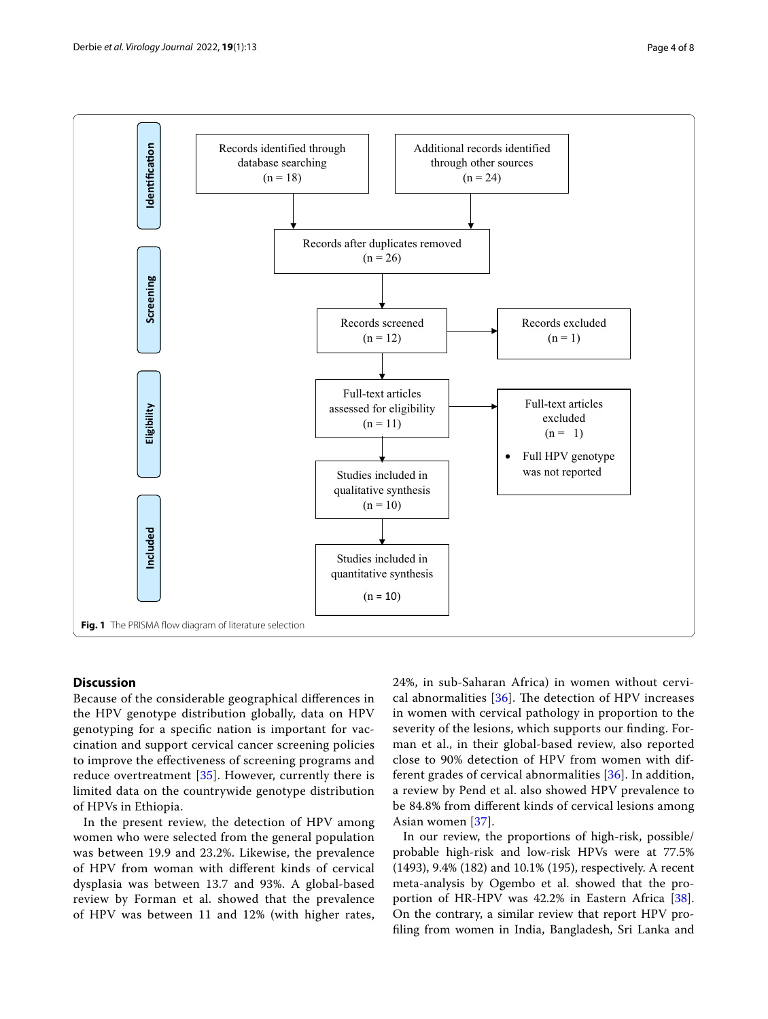

## <span id="page-3-0"></span>**Discussion**

Because of the considerable geographical diferences in the HPV genotype distribution globally, data on HPV genotyping for a specifc nation is important for vaccination and support cervical cancer screening policies to improve the efectiveness of screening programs and reduce overtreatment [\[35](#page-7-20)]. However, currently there is limited data on the countrywide genotype distribution of HPVs in Ethiopia.

In the present review, the detection of HPV among women who were selected from the general population was between 19.9 and 23.2%. Likewise, the prevalence of HPV from woman with diferent kinds of cervical dysplasia was between 13.7 and 93%. A global-based review by Forman et al. showed that the prevalence of HPV was between 11 and 12% (with higher rates, 24%, in sub-Saharan Africa) in women without cervical abnormalities  $[36]$  $[36]$  $[36]$ . The detection of HPV increases in women with cervical pathology in proportion to the severity of the lesions, which supports our fnding. Forman et al., in their global-based review, also reported close to 90% detection of HPV from women with different grades of cervical abnormalities [\[36\]](#page-7-21). In addition, a review by Pend et al. also showed HPV prevalence to be 84.8% from diferent kinds of cervical lesions among Asian women [[37](#page-7-22)].

In our review, the proportions of high-risk, possible/ probable high-risk and low-risk HPVs were at 77.5% (1493), 9.4% (182) and 10.1% (195), respectively. A recent meta-analysis by Ogembo et al. showed that the proportion of HR-HPV was 42.2% in Eastern Africa [\[38](#page-7-23)]. On the contrary, a similar review that report HPV profling from women in India, Bangladesh, Sri Lanka and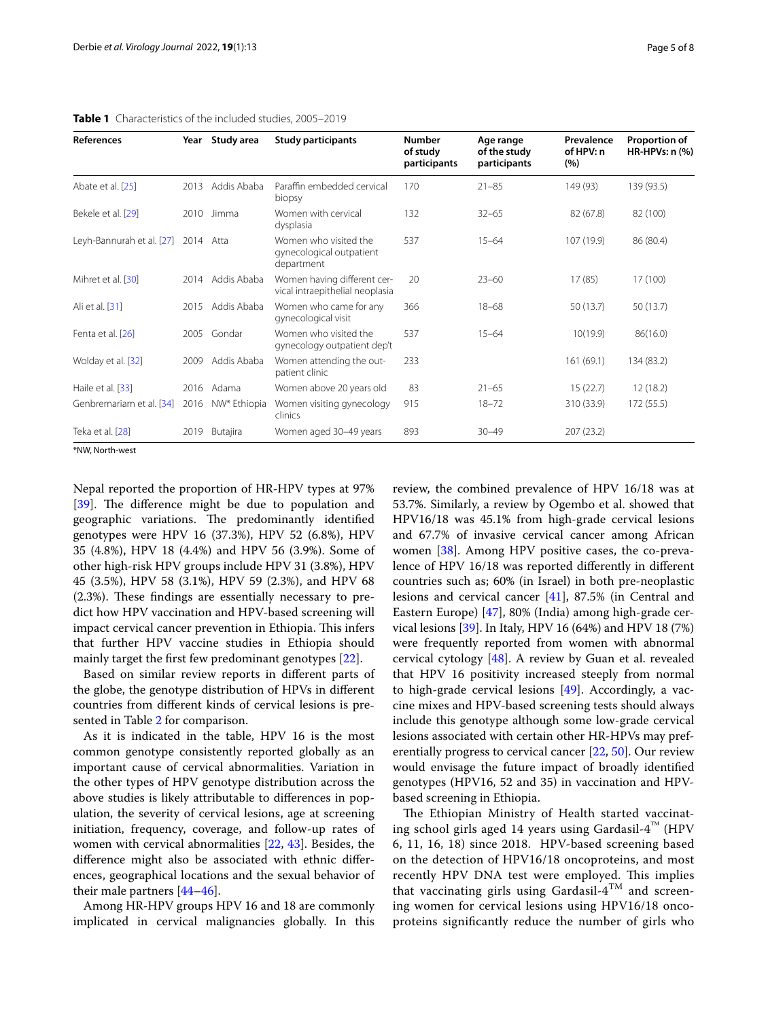| References                | Year | Study area   | <b>Study participants</b>                                       | <b>Number</b><br>of study<br>participants | Age range<br>of the study<br>participants | Prevalence<br>of HPV: n<br>(%) | Proportion of<br>HR-HPVs: $n$ $%$ |
|---------------------------|------|--------------|-----------------------------------------------------------------|-------------------------------------------|-------------------------------------------|--------------------------------|-----------------------------------|
| Abate et al. [25]         | 2013 | Addis Ababa  | Paraffin embedded cervical<br>biopsy                            | 170                                       | $21 - 85$                                 | 149 (93)                       | 139 (93.5)                        |
| Bekele et al. [29]        | 2010 | Jimma        | Women with cervical<br>dysplasia                                | 132                                       | $32 - 65$                                 | 82 (67.8)                      | 82 (100)                          |
| Leyh-Bannurah et al. [27] | 2014 | Atta         | Women who visited the<br>gynecological outpatient<br>department | 537                                       | $15 - 64$                                 | 107 (19.9)                     | 86 (80.4)                         |
| Mihret et al. [30]        | 2014 | Addis Ababa  | Women having different cer-<br>vical intraepithelial neoplasia  | 20                                        | $23 - 60$                                 | 17(85)                         | 17 (100)                          |
| Ali et al. [31]           | 2015 | Addis Ababa  | Women who came for any<br>gynecological visit                   | 366                                       | $18 - 68$                                 | 50 (13.7)                      | 50(13.7)                          |
| Fenta et al. [26]         | 2005 | Gondar       | Women who visited the<br>gynecology outpatient dep't            | 537                                       | $15 - 64$                                 | 10(19.9)                       | 86(16.0)                          |
| Wolday et al. [32]        | 2009 | Addis Ababa  | Women attending the out-<br>patient clinic                      | 233                                       |                                           | 161(69.1)                      | 134 (83.2)                        |
| Haile et al. [33]         | 2016 | Adama        | Women above 20 years old                                        | 83                                        | $21 - 65$                                 | 15(22.7)                       | 12(18.2)                          |
| Genbremariam et al. [34]  | 2016 | NW* Ethiopia | Women visiting gynecology<br>clinics                            | 915                                       | $18 - 72$                                 | 310 (33.9)                     | 172(55.5)                         |
| Teka et al. [28]          | 2019 | Butajira     | Women aged 30-49 years                                          | 893                                       | $30 - 49$                                 | 207 (23.2)                     |                                   |

<span id="page-4-0"></span>

| <b>Table 1</b> Characteristics of the included studies, 2005-2019 |  |
|-------------------------------------------------------------------|--|
|-------------------------------------------------------------------|--|

\*NW, North-west

Nepal reported the proportion of HR-HPV types at 97% [[39\]](#page-7-24). The difference might be due to population and geographic variations. The predominantly identified genotypes were HPV 16 (37.3%), HPV 52 (6.8%), HPV 35 (4.8%), HPV 18 (4.4%) and HPV 56 (3.9%). Some of other high-risk HPV groups include HPV 31 (3.8%), HPV 45 (3.5%), HPV 58 (3.1%), HPV 59 (2.3%), and HPV 68  $(2.3%)$ . These findings are essentially necessary to predict how HPV vaccination and HPV-based screening will impact cervical cancer prevention in Ethiopia. This infers that further HPV vaccine studies in Ethiopia should mainly target the frst few predominant genotypes [\[22](#page-7-7)].

Based on similar review reports in diferent parts of the globe, the genotype distribution of HPVs in diferent countries from diferent kinds of cervical lesions is presented in Table [2](#page-5-1) for comparison.

As it is indicated in the table, HPV 16 is the most common genotype consistently reported globally as an important cause of cervical abnormalities. Variation in the other types of HPV genotype distribution across the above studies is likely attributable to diferences in population, the severity of cervical lesions, age at screening initiation, frequency, coverage, and follow-up rates of women with cervical abnormalities [\[22,](#page-7-7) [43\]](#page-7-25). Besides, the diference might also be associated with ethnic diferences, geographical locations and the sexual behavior of their male partners [\[44](#page-7-26)[–46\]](#page-7-27).

Among HR-HPV groups HPV 16 and 18 are commonly implicated in cervical malignancies globally. In this review, the combined prevalence of HPV 16/18 was at 53.7%. Similarly, a review by Ogembo et al. showed that HPV16/18 was 45.1% from high-grade cervical lesions and 67.7% of invasive cervical cancer among African women [[38\]](#page-7-23). Among HPV positive cases, the co-prevalence of HPV 16/18 was reported diferently in diferent countries such as; 60% (in Israel) in both pre-neoplastic lesions and cervical cancer [\[41\]](#page-7-28), 87.5% (in Central and Eastern Europe) [[47\]](#page-7-29), 80% (India) among high-grade cervical lesions [[39\]](#page-7-24). In Italy, HPV 16 (64%) and HPV 18 (7%) were frequently reported from women with abnormal cervical cytology [\[48](#page-7-30)]. A review by Guan et al. revealed that HPV 16 positivity increased steeply from normal to high-grade cervical lesions [[49](#page-7-31)]. Accordingly, a vaccine mixes and HPV-based screening tests should always include this genotype although some low-grade cervical lesions associated with certain other HR-HPVs may preferentially progress to cervical cancer [[22,](#page-7-7) [50](#page-7-32)]. Our review would envisage the future impact of broadly identifed genotypes (HPV16, 52 and 35) in vaccination and HPVbased screening in Ethiopia.

The Ethiopian Ministry of Health started vaccinating school girls aged 14 years using Gardasil- $4^{\text{m}}$  (HPV 6, 11, 16, 18) since 2018. HPV-based screening based on the detection of HPV16/18 oncoproteins, and most recently HPV DNA test were employed. This implies that vaccinating girls using Gardasil- $4^{TM}$  and screening women for cervical lesions using HPV16/18 oncoproteins signifcantly reduce the number of girls who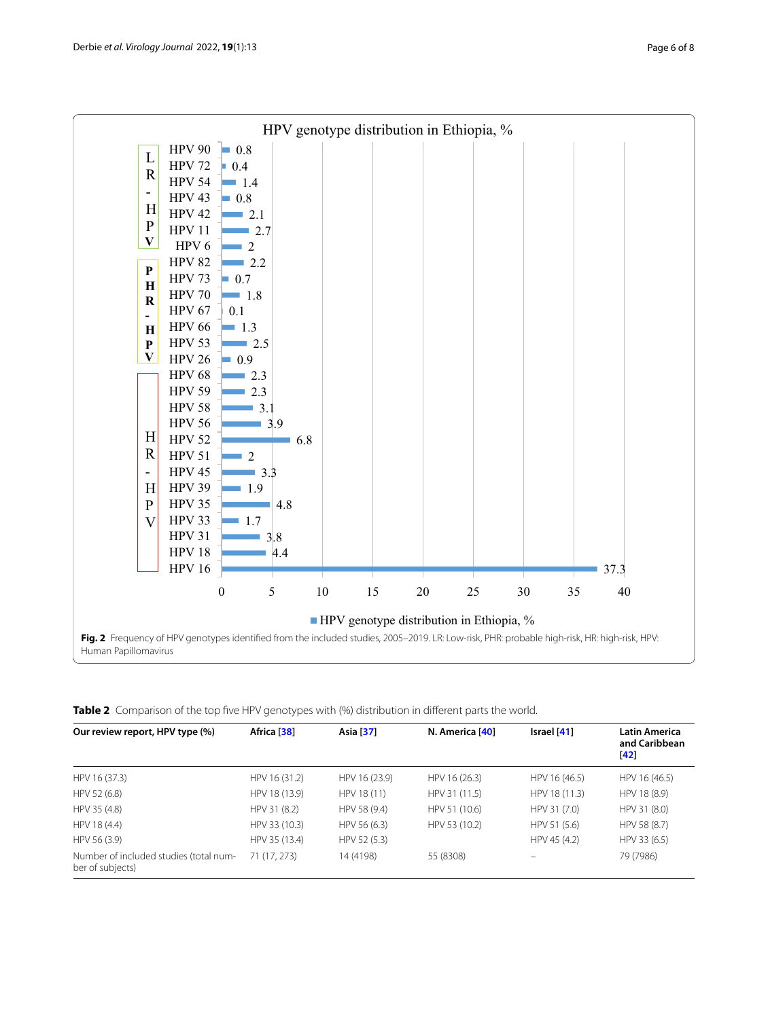

<span id="page-5-1"></span><span id="page-5-0"></span>**Table 2** Comparison of the top five HPV genotypes with (%) distribution in different parts the world.

| Our review report, HPV type (%)                            | Africa [38]   | Asia [37]     | N. America [40] | Israel $[41]$ | <b>Latin America</b><br>and Caribbean<br>[42] |
|------------------------------------------------------------|---------------|---------------|-----------------|---------------|-----------------------------------------------|
|                                                            |               |               |                 |               |                                               |
| HPV 16 (37.3)                                              | HPV 16 (31.2) | HPV 16 (23.9) | HPV 16 (26.3)   | HPV 16 (46.5) | HPV 16 (46.5)                                 |
| HPV 52 (6.8)                                               | HPV 18 (13.9) | HPV 18 (11)   | HPV 31 (11.5)   | HPV 18 (11.3) | HPV 18 (8.9)                                  |
| HPV 35 (4.8)                                               | HPV 31 (8.2)  | HPV 58 (9.4)  | HPV 51 (10.6)   | HPV 31 (7.0)  | HPV 31 (8.0)                                  |
| HPV 18 (4.4)                                               | HPV 33 (10.3) | HPV 56 (6.3)  | HPV 53 (10.2)   | HPV 51 (5.6)  | HPV 58 (8.7)                                  |
| HPV 56 (3.9)                                               | HPV 35 (13.4) | HPV 52 (5.3)  |                 | HPV 45 (4.2)  | HPV 33 (6.5)                                  |
| Number of included studies (total num-<br>ber of subjects) | 71 (17, 273)  | 14 (4198)     | 55 (8308)       |               | 79 (7986)                                     |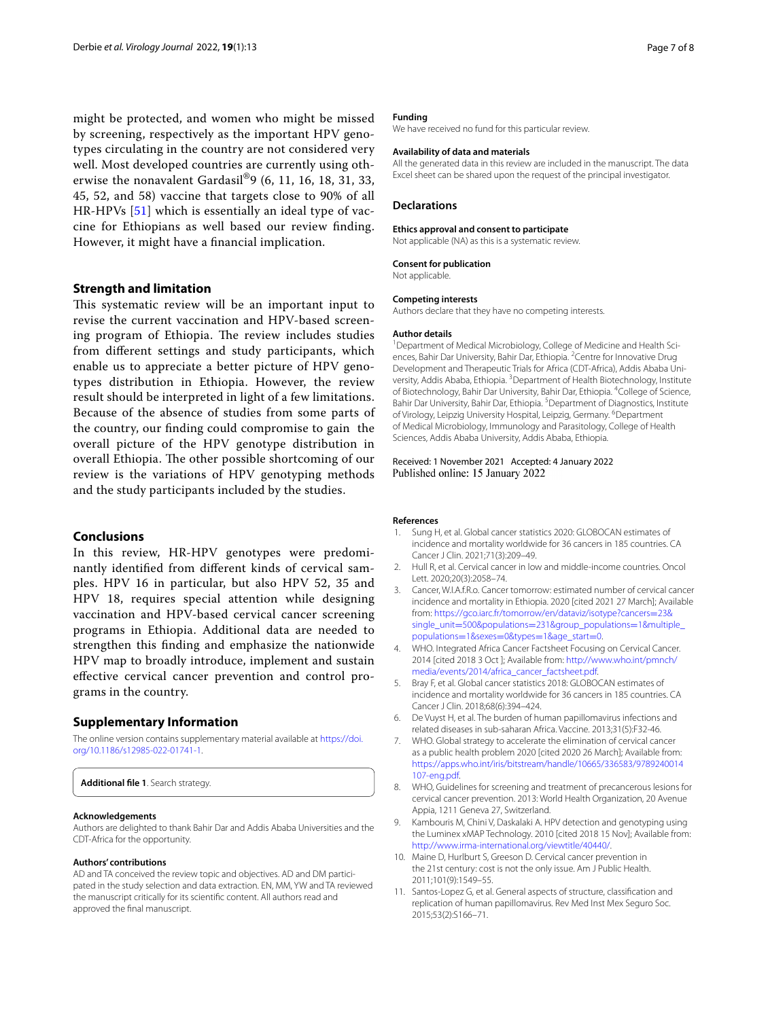might be protected, and women who might be missed by screening, respectively as the important HPV genotypes circulating in the country are not considered very well. Most developed countries are currently using otherwise the nonavalent Gardasil®9 (6, 11, 16, 18, 31, 33, 45, 52, and 58) vaccine that targets close to 90% of all HR-HPVs [[51](#page-7-35)] which is essentially an ideal type of vaccine for Ethiopians as well based our review fnding. However, it might have a fnancial implication.

## **Strength and limitation**

This systematic review will be an important input to revise the current vaccination and HPV-based screening program of Ethiopia. The review includes studies from diferent settings and study participants, which enable us to appreciate a better picture of HPV genotypes distribution in Ethiopia. However, the review result should be interpreted in light of a few limitations. Because of the absence of studies from some parts of the country, our fnding could compromise to gain the overall picture of the HPV genotype distribution in overall Ethiopia. The other possible shortcoming of our review is the variations of HPV genotyping methods and the study participants included by the studies.

## **Conclusions**

In this review, HR-HPV genotypes were predominantly identifed from diferent kinds of cervical samples. HPV 16 in particular, but also HPV 52, 35 and HPV 18, requires special attention while designing vaccination and HPV-based cervical cancer screening programs in Ethiopia. Additional data are needed to strengthen this fnding and emphasize the nationwide HPV map to broadly introduce, implement and sustain efective cervical cancer prevention and control programs in the country.

## **Supplementary Information**

The online version contains supplementary material available at [https://doi.](https://doi.org/10.1186/s12985-022-01741-1) [org/10.1186/s12985-022-01741-1](https://doi.org/10.1186/s12985-022-01741-1).

<span id="page-6-10"></span>**Additional fle 1**. Search strategy.

#### **Acknowledgements**

Authors are delighted to thank Bahir Dar and Addis Ababa Universities and the CDT-Africa for the opportunity.

#### **Authors' contributions**

AD and TA conceived the review topic and objectives. AD and DM participated in the study selection and data extraction. EN, MM, YW and TA reviewed the manuscript critically for its scientifc content. All authors read and approved the fnal manuscript.

## **Funding**

We have received no fund for this particular review.

#### **Availability of data and materials**

All the generated data in this review are included in the manuscript. The data Excel sheet can be shared upon the request of the principal investigator.

#### **Declarations**

#### **Ethics approval and consent to participate**

Not applicable (NA) as this is a systematic review.

#### **Consent for publication**

Not applicable.

#### **Competing interests**

Authors declare that they have no competing interests.

#### **Author details**

<sup>1</sup> Department of Medical Microbiology, College of Medicine and Health Sciences, Bahir Dar University, Bahir Dar, Ethiopia. <sup>2</sup> Centre for Innovative Drug Development and Therapeutic Trials for Africa (CDT-Africa), Addis Ababa University, Addis Ababa, Ethiopia. <sup>3</sup> Department of Health Biotechnology, Institute of Biotechnology, Bahir Dar University, Bahir Dar, Ethiopia. <sup>4</sup>College of Science, Bahir Dar University, Bahir Dar, Ethiopia. <sup>5</sup> Department of Diagnostics, Institute of Virology, Leipzig University Hospital, Leipzig, Germany. <sup>6</sup>Department of Medical Microbiology, Immunology and Parasitology, College of Health Sciences, Addis Ababa University, Addis Ababa, Ethiopia.

#### Received: 1 November 2021 Accepted: 4 January 2022 Published online: 15 January 2022

#### **References**

- <span id="page-6-0"></span>1. Sung H, et al. Global cancer statistics 2020: GLOBOCAN estimates of incidence and mortality worldwide for 36 cancers in 185 countries. CA Cancer J Clin. 2021;71(3):209–49.
- <span id="page-6-1"></span>2. Hull R, et al. Cervical cancer in low and middle-income countries. Oncol Lett. 2020;20(3):2058–74.
- <span id="page-6-2"></span>3. Cancer, W.I.A.f.R.o. Cancer tomorrow: estimated number of cervical cancer incidence and mortality in Ethiopia. 2020 [cited 2021 27 March]; Available from: [https://gco.iarc.fr/tomorrow/en/dataviz/isotype?cancers](https://gco.iarc.fr/tomorrow/en/dataviz/isotype?cancers=23&single_unit=500&populations=231&group_populations=1&multiple_populations=1&sexes=0&types=1&age_start=0)=23& single\_unit=500&populations=[231&group\\_populations](https://gco.iarc.fr/tomorrow/en/dataviz/isotype?cancers=23&single_unit=500&populations=231&group_populations=1&multiple_populations=1&sexes=0&types=1&age_start=0)=1&multiple\_ populations=1&sexes=0&types=1&age\_start=0.
- <span id="page-6-3"></span>4. [WHO. Integrated Africa Cancer Factsheet Focusing](https://gco.iarc.fr/tomorrow/en/dataviz/isotype?cancers=23&single_unit=500&populations=231&group_populations=1&multiple_populations=1&sexes=0&types=1&age_start=0) on Cervical Cancer. 2014 [cited 2018 3 Oct ]; Available from: [http://www.who.int/pmnch/](http://www.who.int/pmnch/media/events/2014/africa_cancer_factsheet.pdf) [media/events/2014/africa\\_cancer\\_factsheet.pdf](http://www.who.int/pmnch/media/events/2014/africa_cancer_factsheet.pdf).
- 5. Bray F, et al. Global cancer statistics 2018: GLOBOCAN estimates of incidence and mortality worldwide for 36 cancers in 185 countries. CA Cancer J Clin. 2018;68(6):394–424.
- <span id="page-6-4"></span>6. De Vuyst H, et al. The burden of human papillomavirus infections and related diseases in sub-saharan Africa. Vaccine. 2013;31(5):F32-46.
- <span id="page-6-5"></span>7. WHO. Global strategy to accelerate the elimination of cervical cancer as a public health problem 2020 [cited 2020 26 March]; Available from: [https://apps.who.int/iris/bitstream/handle/10665/336583/9789240014](https://apps.who.int/iris/bitstream/handle/10665/336583/9789240014107-eng.pdf) [107-eng.pdf.](https://apps.who.int/iris/bitstream/handle/10665/336583/9789240014107-eng.pdf)
- <span id="page-6-6"></span>8. WHO, Guidelines for screening and treatment of precancerous lesions for cervical cancer prevention. 2013: World Health Organization, 20 Avenue Appia, 1211 Geneva 27, Switzerland.
- <span id="page-6-7"></span>9. Kambouris M, Chini V, Daskalaki A. HPV detection and genotyping using the Luminex xMAP Technology. 2010 [cited 2018 15 Nov]; Available from: <http://www.irma-international.org/viewtitle/40440/>.
- <span id="page-6-8"></span>10. Maine D, Hurlburt S, Greeson D. Cervical cancer prevention in the 21st century: cost is not the only issue. Am J Public Health. 2011;101(9):1549–55.
- <span id="page-6-9"></span>11. Santos-Lopez G, et al. General aspects of structure, classifcation and replication of human papillomavirus. Rev Med Inst Mex Seguro Soc. 2015;53(2):S166–71.